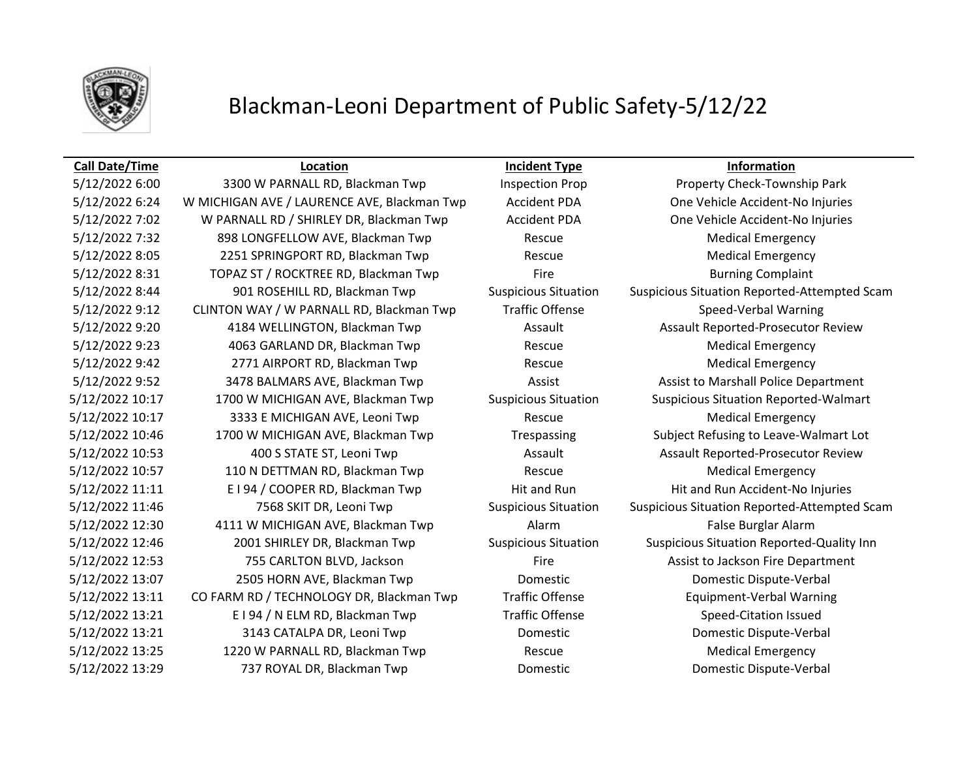

## Blackman-Leoni Department of Public Safety-5/12/22

### **Call Date/Time Location Incident Type Information**

5/12/2022 7:32 898 LONGFELLOW AVE, Blackman Twp Rescue Rescue Medical Emergency 5/12/2022 8:05 2251 SPRINGPORT RD, Blackman Twp Rescue Rescue Medical Emergency 5/12/2022 8:31 TOPAZ ST / ROCKTREE RD, Blackman Twp Fire Fire Burning Complaint 5/12/2022 9:12 CLINTON WAY / W PARNALL RD, Blackman Twp Traffic Offense Speed-Verbal Warning 5/12/2022 9:23 4063 GARLAND DR, Blackman Twp Rescue Medical Emergency 5/12/2022 9:42 2771 AIRPORT RD, Blackman Twp Rescue Rescue Medical Emergency 5/12/2022 10:17 3333 E MICHIGAN AVE, Leoni Twp Rescue Rescue Medical Emergency 5/12/2022 10:57 110 N DETTMAN RD, Blackman Twp Rescue Rescue Medical Emergency 5/12/2022 12:30 4111 W MICHIGAN AVE, Blackman Twp Alarm Alarm False Burglar Alarm 5/12/2022 13:21 E I 94 / N ELM RD, Blackman Twp Traffic Offense Speed-Citation Issued 5/12/2022 13:25 1220 W PARNALL RD, Blackman Twp Rescue Rescue Medical Emergency 5/12/2022 13:29 737 ROYAL DR, Blackman Twp Domestic Domestic Dispute-Verbal

5/12/2022 6:00 3300 W PARNALL RD, Blackman Twp Inspection Prop Property Check-Township Park 5/12/2022 6:24 W MICHIGAN AVE / LAURENCE AVE, Blackman Twp Accident PDA One Vehicle Accident-No Injuries 5/12/2022 7:02 W PARNALL RD / SHIRLEY DR, Blackman Twp Accident PDA One Vehicle Accident-No Injuries 5/12/2022 8:44 901 ROSEHILL RD, Blackman Twp Suspicious Situation Suspicious Situation Reported-Attempted Scam 5/12/2022 9:20 4184 WELLINGTON, Blackman Twp Assault Assault Assault Reported-Prosecutor Review 5/12/2022 9:52 3478 BALMARS AVE, Blackman Twp Assist Assist Assist Assist to Marshall Police Department 5/12/2022 10:17 1700 W MICHIGAN AVE, Blackman Twp Suspicious Situation Suspicious Situation Reported-Walmart 5/12/2022 10:46 1700 W MICHIGAN AVE, Blackman Twp Trespassing Subject Refusing to Leave-Walmart Lot 5/12/2022 10:53 400 S STATE ST, Leoni Twp Assault Assault Assault Reported-Prosecutor Review 5/12/2022 11:11 E I 94 / COOPER RD, Blackman Twp Hit and Run Hit and Run Hit and Run Accident-No Injuries 5/12/2022 11:46 7568 SKIT DR, Leoni Twp Suspicious Situation Suspicious Situation Reported-Attempted Scam 5/12/2022 12:46 2001 SHIRLEY DR, Blackman Twp Suspicious Situation Suspicious Situation Reported-Quality Inn 5/12/2022 12:53 755 CARLTON BLVD, Jackson Fire Fire Assist to Jackson Fire Department 5/12/2022 13:07 2505 HORN AVE, Blackman Twp Domestic Domestic Dispute-Verbal 5/12/2022 13:11 CO FARM RD / TECHNOLOGY DR, Blackman Twp Traffic Offense Equipment-Verbal Warning 5/12/2022 13:21 3143 CATALPA DR, Leoni Twp Domestic Domestic Dispute-Verbal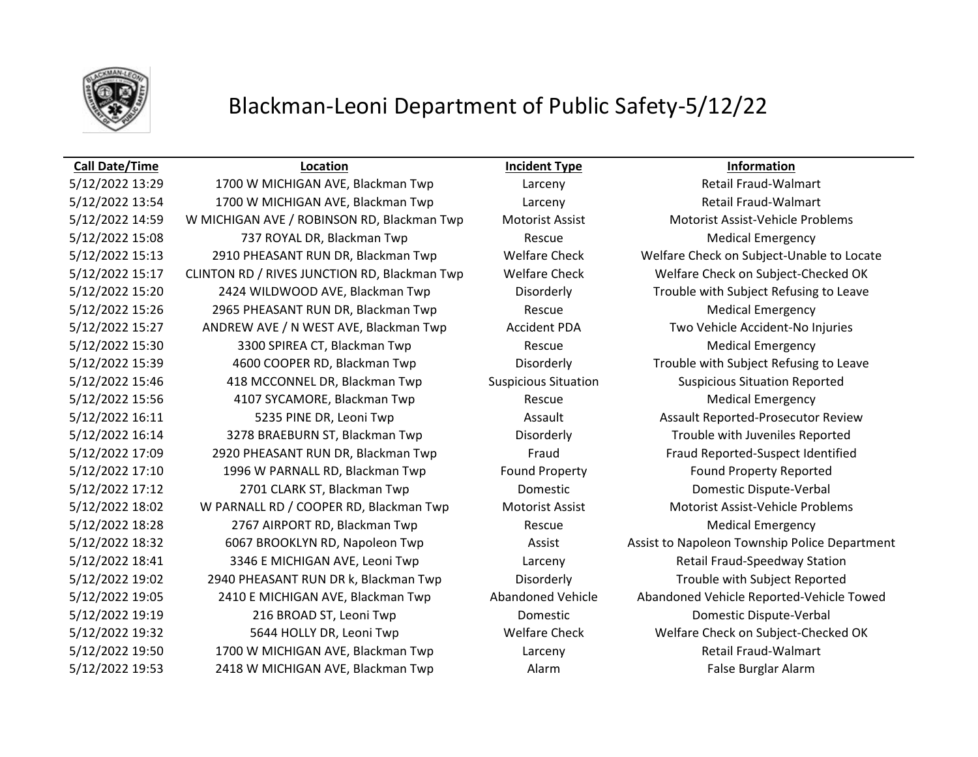

# Blackman-Leoni Department of Public Safety-5/12/22

### **Call Date/Time Location Incident Type Information**

5/12/2022 13:29 1700 W MICHIGAN AVE, Blackman Twp Larceny Retail Fraud-Walmart 5/12/2022 13:54 1700 W MICHIGAN AVE, Blackman Twp Larceny Retail Fraud-Walmart 5/12/2022 14:59 W MICHIGAN AVE / ROBINSON RD, Blackman Twp Motorist Assist Motorist Assist-Vehicle Problems 5/12/2022 15:08 737 ROYAL DR, Blackman Twp Rescue Medical Emergency 5/12/2022 15:13 2910 PHEASANT RUN DR, Blackman Twp Welfare Check Welfare Check on Subject-Unable to Locate 5/12/2022 15:17 CLINTON RD / RIVES JUNCTION RD, Blackman Twp Welfare Check Welfare Check on Subject-Checked OK 5/12/2022 15:20 2424 WILDWOOD AVE, Blackman Twp Disorderly Trouble with Subject Refusing to Leave 5/12/2022 15:26 2965 PHEASANT RUN DR, Blackman Twp Rescue Rescue Medical Emergency 5/12/2022 15:27 ANDREW AVE / N WEST AVE, Blackman Twp Accident PDA Two Vehicle Accident-No Injuries 5/12/2022 15:30 3300 SPIREA CT, Blackman Twp Rescue Rescue Medical Emergency 5/12/2022 15:39 4600 COOPER RD, Blackman Twp Disorderly Trouble with Subject Refusing to Leave 5/12/2022 15:46 418 MCCONNEL DR, Blackman Twp Suspicious Situation Suspicious Situation Reported 5/12/2022 15:56 4107 SYCAMORE, Blackman Twp Rescue Medical Emergency 5/12/2022 16:11 5235 PINE DR, Leoni Twp Assault Assault Assault Reported-Prosecutor Review 5/12/2022 16:14 3278 BRAEBURN ST, Blackman Twp Disorderly Trouble with Juveniles Reported 5/12/2022 17:09 2920 PHEASANT RUN DR, Blackman Twp Fraud Fraud Reported-Suspect Identified 5/12/2022 17:10 1996 W PARNALL RD, Blackman Twp Found Property Found Property Reported 5/12/2022 17:12 2701 CLARK ST, Blackman Twp Domestic Domestic Dispute-Verbal 5/12/2022 18:02 W PARNALL RD / COOPER RD, Blackman Twp Motorist Assist Motorist Assist-Vehicle Problems 5/12/2022 18:28 2767 AIRPORT RD, Blackman Twp Rescue Medical Emergency 5/12/2022 18:32 6067 BROOKLYN RD, Napoleon Twp Assist Assist Assist to Napoleon Township Police Department 5/12/2022 18:41 3346 E MICHIGAN AVE, Leoni Twp Larceny Retail Fraud-Speedway Station 5/12/2022 19:02 2940 PHEASANT RUN DR k, Blackman Twp Disorderly Trouble with Subject Reported 5/12/2022 19:05 2410 E MICHIGAN AVE, Blackman Twp Abandoned Vehicle Abandoned Vehicle Reported-Vehicle Towed 5/12/2022 19:19 216 BROAD ST, Leoni Twp Domestic Domestic Dispute-Verbal 5/12/2022 19:32 5644 HOLLY DR, Leoni Twp Welfare Check Welfare Check on Subject-Checked OK 5/12/2022 19:50 1700 W MICHIGAN AVE, Blackman Twp Larceny Retail Fraud-Walmart 5/12/2022 19:53 2418 W MICHIGAN AVE, Blackman Twp Alarm Alarm Cass and False Burglar Alarm